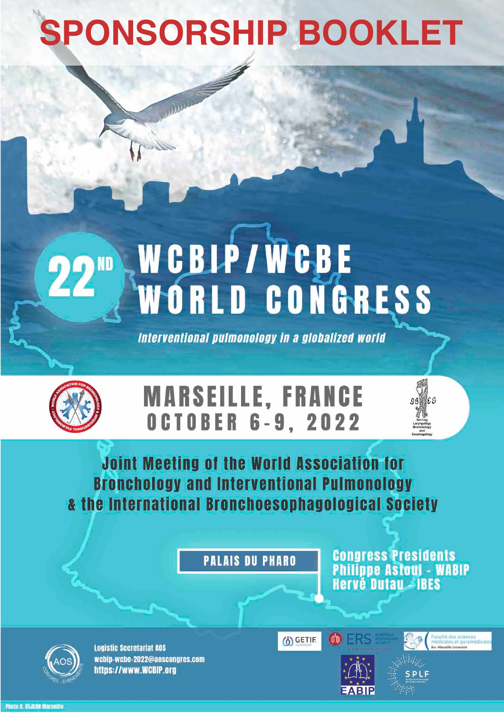# **SPONSORSHIP BOOKLET**

# WCBLP/WCBE<br>WORLD CONGRESS  $22^m$

Interventional pulmonology in a globalized world



# **MARSEILLE, FRANCE OCTOBER 6-9, 2022**



**PALAIS DU PHARO** 

**Congress Presidents<br>Philippe Astoul - WABIP<br>Hervé Dutau - IBES** 

 $03$   $65$ 



**Logistic Secretariat AOS** wcbip-wcbe-2022@aoscongres.com https://www.WCBIP.org





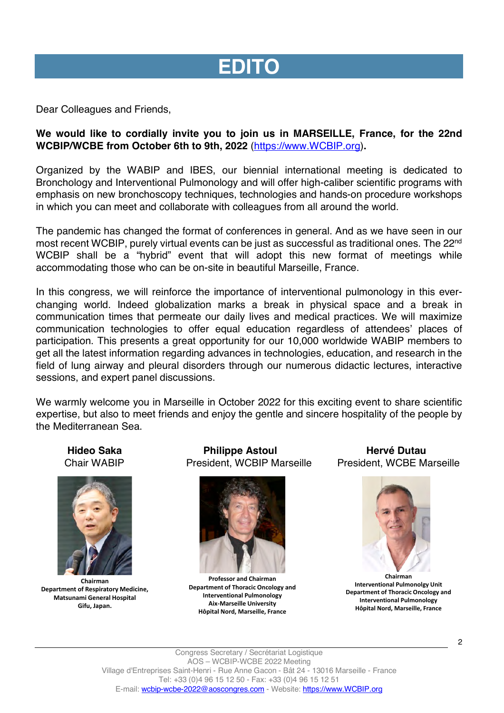# **EDITO**

Dear Colleagues and Friends,

### **We would like to cordially invite you to join us in MARSEILLE, France, for the 22nd WCBIP/WCBE from October 6th to 9th, 2022** (https://www.WCBIP.org)**.**

Organized by the WABIP and IBES, our biennial international meeting is dedicated to Bronchology and Interventional Pulmonology and will offer high-caliber scientific programs with emphasis on new bronchoscopy techniques, technologies and hands-on procedure workshops in which you can meet and collaborate with colleagues from all around the world.

The pandemic has changed the format of conferences in general. And as we have seen in our most recent WCBIP, purely virtual events can be just as successful as traditional ones. The 22<sup>nd</sup> WCBIP shall be a "hybrid" event that will adopt this new format of meetings while accommodating those who can be on-site in beautiful Marseille, France.

In this congress, we will reinforce the importance of interventional pulmonology in this everchanging world. Indeed globalization marks a break in physical space and a break in communication times that permeate our daily lives and medical practices. We will maximize communication technologies to offer equal education regardless of attendees' places of participation. This presents a great opportunity for our 10,000 worldwide WABIP members to get all the latest information regarding advances in technologies, education, and research in the field of lung airway and pleural disorders through our numerous didactic lectures, interactive sessions, and expert panel discussions.

We warmly welcome you in Marseille in October 2022 for this exciting event to share scientific expertise, but also to meet friends and enjoy the gentle and sincere hospitality of the people by the Mediterranean Sea.



**Chairman Department of Respiratory Medicine, Matsunami General Hospital Gifu, Japan.**

 **Hideo Saka Philippe Astoul Hervé Dutau** Chair WABIP President, WCBIP Marseille President, WCBE Marseille



**Professor and Chairman Department of Thoracic Oncology and Interventional Pulmonology Aix-Marseille University Hôpital Nord, Marseille, France**



**Chairman Interventional Pulmonolgy Unit Department of Thoracic Oncology and Interventional Pulmonology Hôpital Nord, Marseille, France**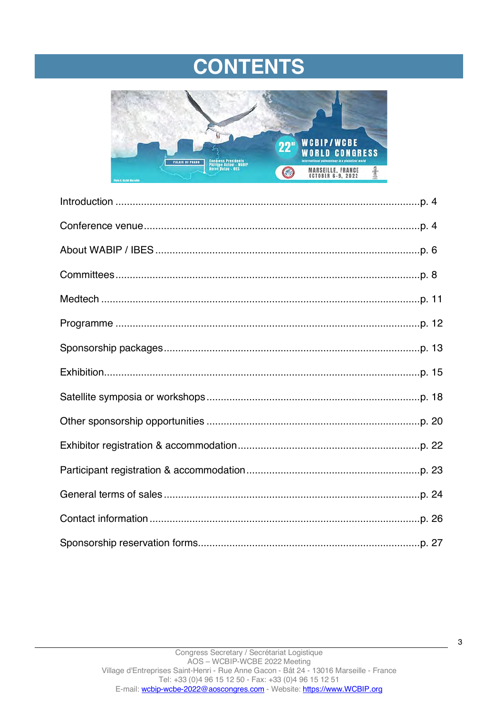# **CONTENTS**

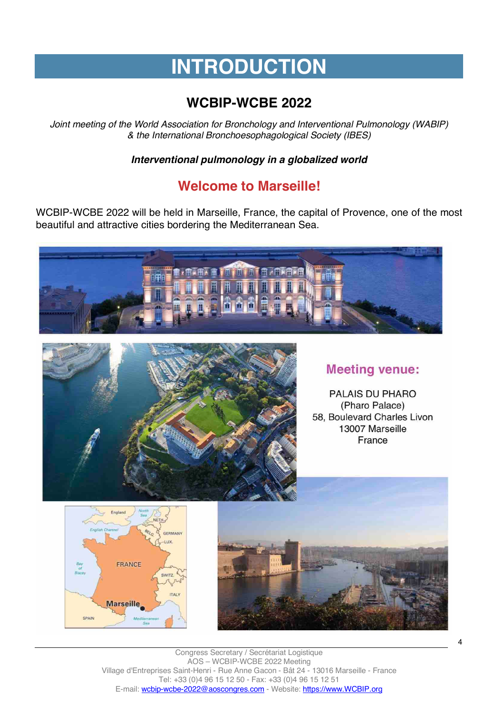# **INTRODUCTION**

# **WCBIP-WCBE 2022**

*Joint meeting of the World Association for Bronchology and Interventional Pulmonology (WABIP) & the International Bronchoesophagological Society (IBES)*

*Interventional pulmonology in a globalized world*

# **Welcome to Marseille!**

WCBIP-WCBE 2022 will be held in Marseille, France, the capital of Provence, one of the most beautiful and attractive cities bordering the Mediterranean Sea.





# **Meeting venue:**

PALAIS DU PHARO (Pharo Palace) 58, Boulevard Charles Livon 13007 Marseille France





Congress Secretary / Secrétariat Logistique AOS – WCBIP-WCBE 2022 Meeting Village d'Entreprises Saint-Henri - Rue Anne Gacon - Bât 24 - 13016 Marseille - France Tel: +33 (0)4 96 15 12 50 - Fax: +33 (0)4 96 15 12 51 E-mail: wcbip-wcbe-2022@aoscongres.com - Website: https://www.WCBIP.org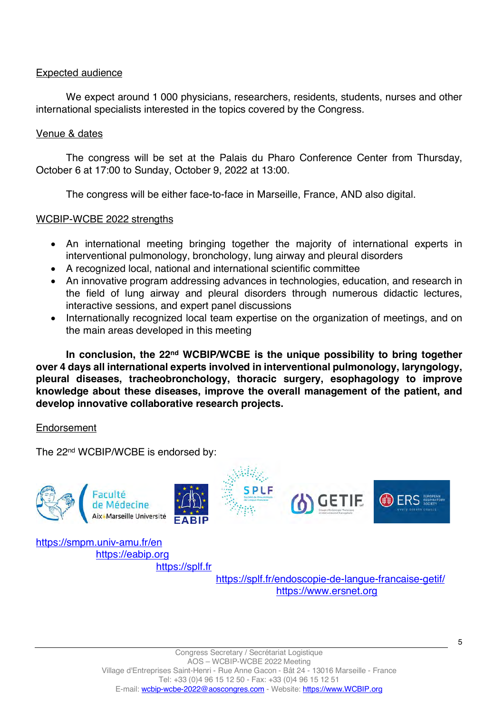### Expected audience

We expect around 1 000 physicians, researchers, residents, students, nurses and other international specialists interested in the topics covered by the Congress.

### Venue & dates

The congress will be set at the Palais du Pharo Conference Center from Thursday, October 6 at 17:00 to Sunday, October 9, 2022 at 13:00.

The congress will be either face-to-face in Marseille, France, AND also digital.

### WCBIP-WCBE 2022 strengths

- An international meeting bringing together the majority of international experts in interventional pulmonology, bronchology, lung airway and pleural disorders
- A recognized local, national and international scientific committee
- An innovative program addressing advances in technologies, education, and research in the field of lung airway and pleural disorders through numerous didactic lectures, interactive sessions, and expert panel discussions
- Internationally recognized local team expertise on the organization of meetings, and on the main areas developed in this meeting

**In conclusion, the 22nd WCBIP/WCBE is the unique possibility to bring together over 4 days all international experts involved in interventional pulmonology, laryngology, pleural diseases, tracheobronchology, thoracic surgery, esophagology to improve knowledge about these diseases, improve the overall management of the patient, and develop innovative collaborative research projects.**

### Endorsement

The 22<sup>nd</sup> WCBIP/WCBE is endorsed by:



https://splf.fr/endoscopie-de-langue-francaise-getif/ https://www.ersnet.org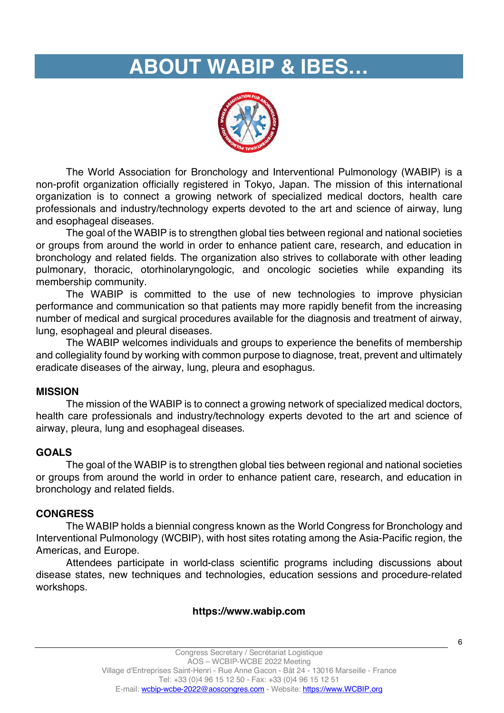# **ABOUT WABIP & IBES…**



The World Association for Bronchology and Interventional Pulmonology (WABIP) is a non-profit organization officially registered in Tokyo, Japan. The mission of this international organization is to connect a growing network of specialized medical doctors, health care professionals and industry/technology experts devoted to the art and science of airway, lung and esophageal diseases.

The goal of the WABIP is to strengthen global ties between regional and national societies or groups from around the world in order to enhance patient care, research, and education in bronchology and related fields. The organization also strives to collaborate with other leading pulmonary, thoracic, otorhinolaryngologic, and oncologic societies while expanding its membership community.

The WABIP is committed to the use of new technologies to improve physician performance and communication so that patients may more rapidly benefit from the increasing number of medical and surgical procedures available for the diagnosis and treatment of airway, lung, esophageal and pleural diseases.

The WABIP welcomes individuals and groups to experience the benefits of membership and collegiality found by working with common purpose to diagnose, treat, prevent and ultimately eradicate diseases of the airway, lung, pleura and esophagus.

## **MISSION**

The mission of the WABIP is to connect a growing network of specialized medical doctors, health care professionals and industry/technology experts devoted to the art and science of airway, pleura, lung and esophageal diseases.

### **GOALS**

The goal of the WABIP is to strengthen global ties between regional and national societies or groups from around the world in order to enhance patient care, research, and education in bronchology and related fields.

### **CONGRESS**

The WABIP holds a biennial congress known as the World Congress for Bronchology and Interventional Pulmonology (WCBIP), with host sites rotating among the Asia-Pacific region, the Americas, and Europe.

Attendees participate in world-class scientific programs including discussions about disease states, new techniques and technologies, education sessions and procedure-related workshops.

### **https://www.wabip.com**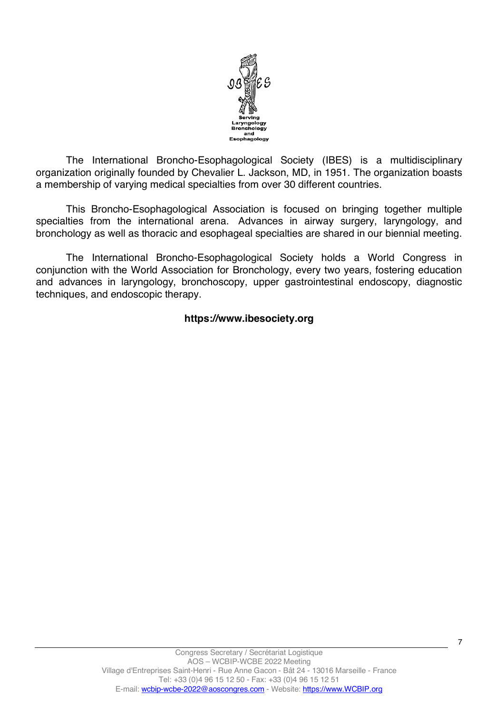

The International Broncho-Esophagological Society (IBES) is a multidisciplinary organization originally founded by Chevalier L. Jackson, MD, in 1951. The organization boasts a membership of varying medical specialties from over 30 different countries.

This Broncho-Esophagological Association is focused on bringing together multiple specialties from the international arena. Advances in airway surgery, laryngology, and bronchology as well as thoracic and esophageal specialties are shared in our biennial meeting.

The International Broncho-Esophagological Society holds a World Congress in conjunction with the World Association for Bronchology, every two years, fostering education and advances in laryngology, bronchoscopy, upper gastrointestinal endoscopy, diagnostic techniques, and endoscopic therapy.

### **https://www.ibesociety.org**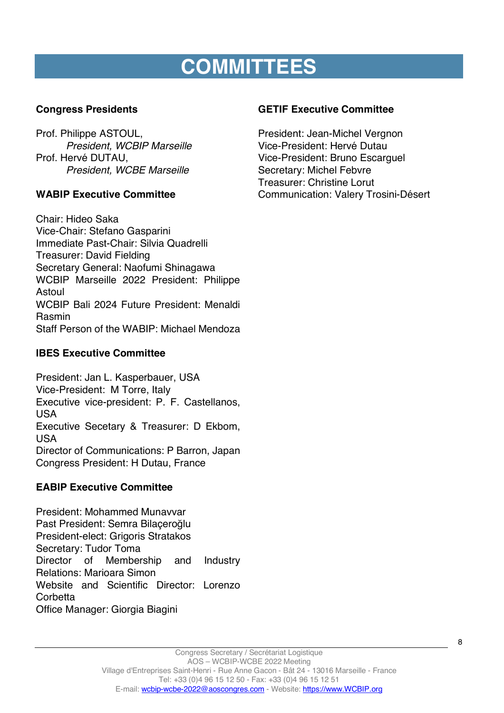# **COMMITTEES**

# **Congress Presidents**

Prof. Philippe ASTOUL, *President, WCBIP Marseille* Prof. Hervé DUTAU, *President, WCBE Marseille*

# **WABIP Executive Committee**

Chair: Hideo Saka Vice-Chair: Stefano Gasparini Immediate Past-Chair: Silvia Quadrelli Treasurer: David Fielding Secretary General: Naofumi Shinagawa WCBIP Marseille 2022 President: Philippe Astoul WCBIP Bali 2024 Future President: Menaldi Rasmin Staff Person of the WABIP: Michael Mendoza

# **IBES Executive Committee**

President: Jan L. Kasperbauer, USA Vice-President: M Torre, Italy Executive vice-president: P. F. Castellanos, USA Executive Secetary & Treasurer: D Ekbom, USA Director of Communications: P Barron, Japan Congress President: H Dutau, France

# **EABIP Executive Committee**

President: Mohammed Munavvar Past President: Semra Bilaçeroğlu President-elect: Grigoris Stratakos Secretary: Tudor Toma Director of Membership and Industry Relations: Marioara Simon Website and Scientific Director: Lorenzo **Corbetta** Office Manager: Giorgia Biagini

# **GETIF Executive Committee**

President: Jean-Michel Vergnon Vice-President: Hervé Dutau Vice-President: Bruno Escarguel Secretary: Michel Febvre Treasurer: Christine Lorut Communication: Valery Trosini-Désert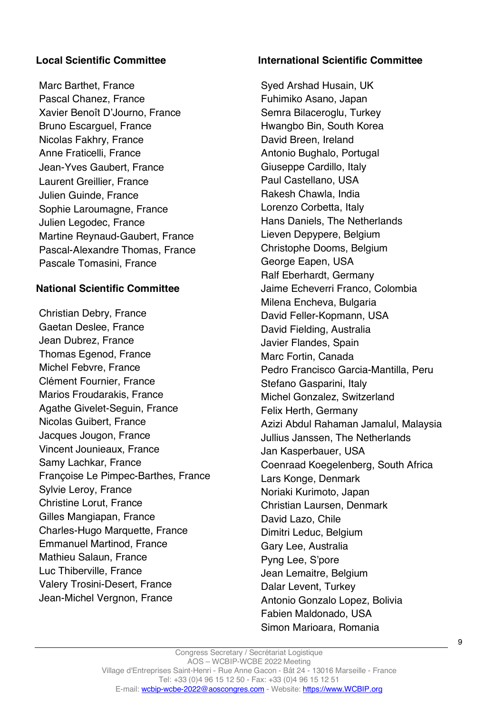# **Local Scientific Committee**

Marc Barthet, France Pascal Chanez, France Xavier Benoît D'Journo, France Bruno Escarguel, France Nicolas Fakhry, France Anne Fraticelli, France Jean-Yves Gaubert, France Laurent Greillier, France Julien Guinde, France Sophie Laroumagne, France Julien Legodec, France Martine Reynaud-Gaubert, France Pascal-Alexandre Thomas, France Pascale Tomasini, France

## **National Scientific Committee**

Christian Debry, France Gaetan Deslee, France Jean Dubrez, France Thomas Egenod, France Michel Febvre, France Clément Fournier, France Marios Froudarakis, France Agathe Givelet-Seguin, France Nicolas Guibert, France Jacques Jougon, France Vincent Jounieaux, France Samy Lachkar, France Françoise Le Pimpec-Barthes, France Sylvie Leroy, France Christine Lorut, France Gilles Mangiapan, France Charles-Hugo Marquette, France Emmanuel Martinod, France Mathieu Salaun, France Luc Thiberville, France Valery Trosini-Desert, France Jean-Michel Vergnon, France

### **International Scientific Committee**

Syed Arshad Husain, UK Fuhimiko Asano, Japan Semra Bilaceroglu, Turkey Hwangbo Bin, South Korea David Breen, Ireland Antonio Bughalo, Portugal Giuseppe Cardillo, Italy Paul Castellano, USA Rakesh Chawla, India Lorenzo Corbetta, Italy Hans Daniels, The Netherlands Lieven Depypere, Belgium Christophe Dooms, Belgium George Eapen, USA Ralf Eberhardt, Germany Jaime Echeverri Franco, Colombia Milena Encheva, Bulgaria David Feller-Kopmann, USA David Fielding, Australia Javier Flandes, Spain Marc Fortin, Canada Pedro Francisco Garcia-Mantilla, Peru Stefano Gasparini, Italy Michel Gonzalez, Switzerland Felix Herth, Germany Azizi Abdul Rahaman Jamalul, Malaysia Jullius Janssen, The Netherlands Jan Kasperbauer, USA Coenraad Koegelenberg, South Africa Lars Konge, Denmark Noriaki Kurimoto, Japan Christian Laursen, Denmark David Lazo, Chile Dimitri Leduc, Belgium Gary Lee, Australia Pyng Lee, S'pore Jean Lemaitre, Belgium Dalar Levent, Turkey Antonio Gonzalo Lopez, Bolivia Fabien Maldonado, USA Simon Marioara, Romania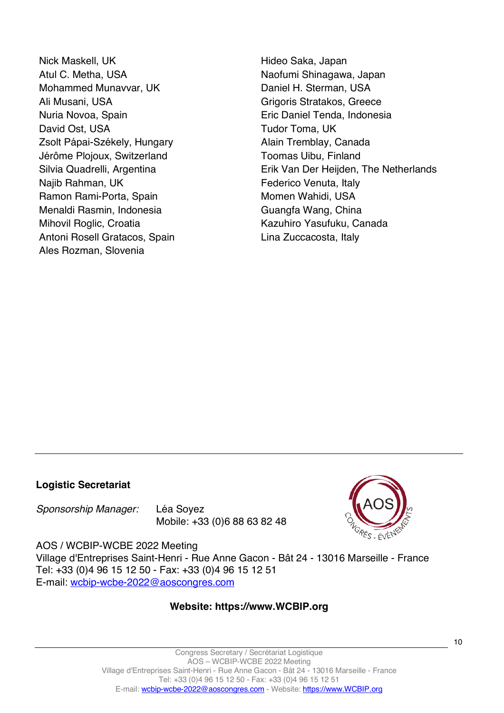Nick Maskell, UK Atul C. Metha, USA Mohammed Munavvar, UK Ali Musani, USA Nuria Novoa, Spain David Ost, USA Zsolt Pápai-Székely, Hungary Jérôme Plojoux, Switzerland Silvia Quadrelli, Argentina Najib Rahman, UK Ramon Rami-Porta, Spain Menaldi Rasmin, Indonesia Mihovil Roglic, Croatia Antoni Rosell Gratacos, Spain Ales Rozman, Slovenia

Hideo Saka, Japan Naofumi Shinagawa, Japan Daniel H. Sterman, USA Grigoris Stratakos, Greece Eric Daniel Tenda, Indonesia Tudor Toma, UK Alain Tremblay, Canada Toomas Uibu, Finland Erik Van Der Heijden, The Netherlands Federico Venuta, Italy Momen Wahidi, USA Guangfa Wang, China Kazuhiro Yasufuku, Canada Lina Zuccacosta, Italy

## **Logistic Secretariat**

*Sponsorship Manager:* Léa Soyez Mobile: +33 (0)6 88 63 82 48



AOS / WCBIP-WCBE 2022 Meeting Village d'Entreprises Saint-Henri - Rue Anne Gacon - Bât 24 - 13016 Marseille - France Tel: +33 (0)4 96 15 12 50 - Fax: +33 (0)4 96 15 12 51 E-mail: wcbip-wcbe-2022@aoscongres.com

### **Website: https://www.WCBIP.org**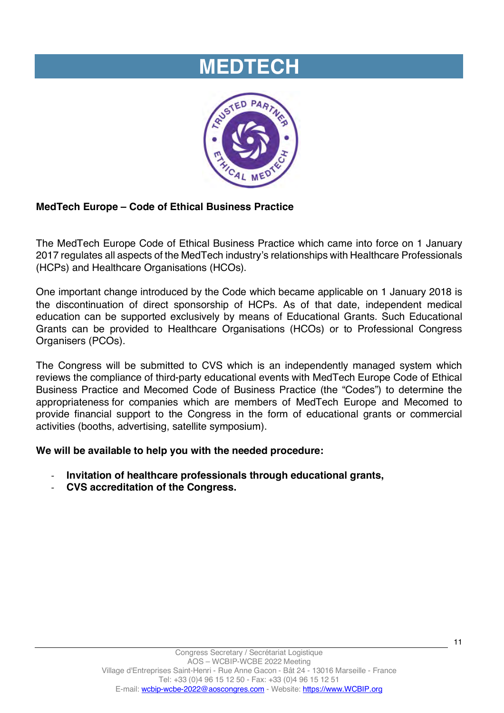# **MEDTECH**



# **MedTech Europe – Code of Ethical Business Practice**

The MedTech Europe Code of Ethical Business Practice which came into force on 1 January 2017 regulates all aspects of the MedTech industry's relationships with Healthcare Professionals (HCPs) and Healthcare Organisations (HCOs).

One important change introduced by the Code which became applicable on 1 January 2018 is the discontinuation of direct sponsorship of HCPs. As of that date, independent medical education can be supported exclusively by means of Educational Grants. Such Educational Grants can be provided to Healthcare Organisations (HCOs) or to Professional Congress Organisers (PCOs).

The Congress will be submitted to CVS which is an independently managed system which reviews the compliance of third-party educational events with MedTech Europe Code of Ethical Business Practice and Mecomed Code of Business Practice (the "Codes") to determine the appropriateness for companies which are members of MedTech Europe and Mecomed to provide financial support to the Congress in the form of educational grants or commercial activities (booths, advertising, satellite symposium).

**We will be available to help you with the needed procedure:** 

- **Invitation of healthcare professionals through educational grants,**
- **CVS accreditation of the Congress.**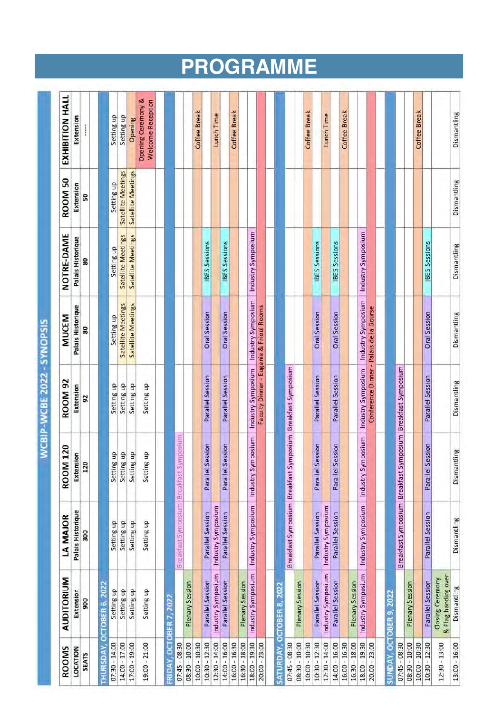| Coffee Break<br>Opening<br>į<br><b>Satellite Meetings</b><br><b>Satellite Meetings</b><br><b>ROOM 50</b><br>Dismantling<br>Setting up<br>Extension<br>50<br>Industry Symposium<br>Industry Symposium<br>NOTRE-DAME<br><b>Satellite Meetings</b><br><b>Satellite Meetings</b><br>Palais Historique<br><b>IBES</b> Sessions<br><b>IBES</b> Sessions<br>IBES Sessions<br><b>IBES Sessions</b><br><b>IBES</b> Sessions<br>Dismantling<br>Setting up<br>80<br>Industry Symposium<br>Industry Symposium<br><b>Satellite Meetings</b><br><b>Satellite Meetings</b><br>Palais Historique<br>Faculty Dinner - Eugenie & Frioul Rooms<br>Conference Dinner - Palais de la Bourse<br>Oral Session<br>Oral Session<br>Oral Session<br>Dismantling<br>Oral Session<br>Oral Session<br><b>MUCEM</b><br>Setting up<br>80<br>Industry Symposium<br>Symposium   Breakfast Symposium<br>Symposium Breakfast Symposium<br>Industry Symposium<br>Parallel Session<br>Parallel Session<br>Parallel Session<br>Parallel Session<br>Parallel Session<br><b>ROOM 92</b><br>Dismantling<br>Setting up<br>Setting up<br>Setting up<br>Setting up<br>Extension<br>92<br>Symposium<br>Industry Symposium<br>Industry Symposium<br>Parallel Session<br>Parallel Session<br>Parallel Session<br>Parallel Session<br>Parallel Session<br><b>ROOM 120</b><br>Dismantling<br>Setting up<br>Setting up<br>Setting up<br>Setting up<br>Extension<br>120<br>Breakfast Symposium Breakfast<br>Breakfast Symposium Breakfast<br>Breakfast Symposium Breakfast<br>Industry Symposium<br>Industry Symposium<br>Industry Symposium<br>Industry Symposium<br>Palais Historique<br>Parallel Session<br>Parallel Session<br>Parallel Session<br>Parallel Session<br>Parallel Session<br>LA MAJOR<br>Dismantling<br>Setting up<br>Setting up<br>Setting up<br>Setting up<br>300<br>Industry Symposium<br>Industry Symposium<br>Industry Symposium<br>Industry Symposium<br>& Flag handing over<br>AUDITORIUM<br><b>Closing Ceremony</b><br>Parallel Session<br>Parallel Session<br>Parallel Session<br>Parallel Session<br>Plenary Session<br>Parallel Session<br><b>Plenary Session</b><br>Plenary Session<br>Plenary Session<br>Plenary Session<br>CTOBER 6, 2022<br>SATURDAY, OCTOBER 8, 2022<br>Dismantling<br>Setting up<br>Setting up<br>Setting up<br>Setting up<br>Extension<br>SUNDAY, OCTOBER 9, 2022<br>FRIDAY, OCTOBER 7, 2022<br>900<br>Ō<br><b>THURSDAY,</b><br>17:00 - 19:00<br>$10:30 - 12:30$<br>12:30 - 14:00<br>$18:00 - 19:30$<br>$10:30 - 12:30$<br>12:30 - 14:00<br>16:30 - 18:00<br>18:00 - 19:30<br>$20:00 - 23:00$<br>08:30 - 10:00<br>$07:30 - 14:00$<br>14:00 - 17:00<br>19:00 - 21:00<br>08:30 - 10:00<br>10:00 - 10:30<br>14:00 - 16:00<br>16:00 - 16:30<br>16:30 - 18:00<br>20:00 - 23:00<br>08:30 - 10:00<br>10:00 - 10:30<br>14:00 - 16:00<br>$07:45 - 08:30$<br>$10:30 - 12:30$<br>$07:45 - 08:30$<br>$07:45 - 08:30$<br>16:00 - 16:30<br>$10:00 - 10:30$<br>12:30 - 13:00<br>13:00 - 16:00<br>ROOMS<br>LOCATION<br><b>SEATS</b> |  |  |  |  |                                         |
|----------------------------------------------------------------------------------------------------------------------------------------------------------------------------------------------------------------------------------------------------------------------------------------------------------------------------------------------------------------------------------------------------------------------------------------------------------------------------------------------------------------------------------------------------------------------------------------------------------------------------------------------------------------------------------------------------------------------------------------------------------------------------------------------------------------------------------------------------------------------------------------------------------------------------------------------------------------------------------------------------------------------------------------------------------------------------------------------------------------------------------------------------------------------------------------------------------------------------------------------------------------------------------------------------------------------------------------------------------------------------------------------------------------------------------------------------------------------------------------------------------------------------------------------------------------------------------------------------------------------------------------------------------------------------------------------------------------------------------------------------------------------------------------------------------------------------------------------------------------------------------------------------------------------------------------------------------------------------------------------------------------------------------------------------------------------------------------------------------------------------------------------------------------------------------------------------------------------------------------------------------------------------------------------------------------------------------------------------------------------------------------------------------------------------------------------------------------------------------------------------------------------------------------------------------------------------------------------------------------------------------------------------------------------------------------------------------------------------------------------------------------------------------------------------------------------------------------------------------------------------------------------------------------------------------------------------------------------------------------------------------------------|--|--|--|--|-----------------------------------------|
|                                                                                                                                                                                                                                                                                                                                                                                                                                                                                                                                                                                                                                                                                                                                                                                                                                                                                                                                                                                                                                                                                                                                                                                                                                                                                                                                                                                                                                                                                                                                                                                                                                                                                                                                                                                                                                                                                                                                                                                                                                                                                                                                                                                                                                                                                                                                                                                                                                                                                                                                                                                                                                                                                                                                                                                                                                                                                                                                                                                                                      |  |  |  |  | EXHIBITION HALL                         |
|                                                                                                                                                                                                                                                                                                                                                                                                                                                                                                                                                                                                                                                                                                                                                                                                                                                                                                                                                                                                                                                                                                                                                                                                                                                                                                                                                                                                                                                                                                                                                                                                                                                                                                                                                                                                                                                                                                                                                                                                                                                                                                                                                                                                                                                                                                                                                                                                                                                                                                                                                                                                                                                                                                                                                                                                                                                                                                                                                                                                                      |  |  |  |  | Extension                               |
|                                                                                                                                                                                                                                                                                                                                                                                                                                                                                                                                                                                                                                                                                                                                                                                                                                                                                                                                                                                                                                                                                                                                                                                                                                                                                                                                                                                                                                                                                                                                                                                                                                                                                                                                                                                                                                                                                                                                                                                                                                                                                                                                                                                                                                                                                                                                                                                                                                                                                                                                                                                                                                                                                                                                                                                                                                                                                                                                                                                                                      |  |  |  |  |                                         |
|                                                                                                                                                                                                                                                                                                                                                                                                                                                                                                                                                                                                                                                                                                                                                                                                                                                                                                                                                                                                                                                                                                                                                                                                                                                                                                                                                                                                                                                                                                                                                                                                                                                                                                                                                                                                                                                                                                                                                                                                                                                                                                                                                                                                                                                                                                                                                                                                                                                                                                                                                                                                                                                                                                                                                                                                                                                                                                                                                                                                                      |  |  |  |  |                                         |
|                                                                                                                                                                                                                                                                                                                                                                                                                                                                                                                                                                                                                                                                                                                                                                                                                                                                                                                                                                                                                                                                                                                                                                                                                                                                                                                                                                                                                                                                                                                                                                                                                                                                                                                                                                                                                                                                                                                                                                                                                                                                                                                                                                                                                                                                                                                                                                                                                                                                                                                                                                                                                                                                                                                                                                                                                                                                                                                                                                                                                      |  |  |  |  | Setting up                              |
|                                                                                                                                                                                                                                                                                                                                                                                                                                                                                                                                                                                                                                                                                                                                                                                                                                                                                                                                                                                                                                                                                                                                                                                                                                                                                                                                                                                                                                                                                                                                                                                                                                                                                                                                                                                                                                                                                                                                                                                                                                                                                                                                                                                                                                                                                                                                                                                                                                                                                                                                                                                                                                                                                                                                                                                                                                                                                                                                                                                                                      |  |  |  |  | Setting up                              |
|                                                                                                                                                                                                                                                                                                                                                                                                                                                                                                                                                                                                                                                                                                                                                                                                                                                                                                                                                                                                                                                                                                                                                                                                                                                                                                                                                                                                                                                                                                                                                                                                                                                                                                                                                                                                                                                                                                                                                                                                                                                                                                                                                                                                                                                                                                                                                                                                                                                                                                                                                                                                                                                                                                                                                                                                                                                                                                                                                                                                                      |  |  |  |  |                                         |
|                                                                                                                                                                                                                                                                                                                                                                                                                                                                                                                                                                                                                                                                                                                                                                                                                                                                                                                                                                                                                                                                                                                                                                                                                                                                                                                                                                                                                                                                                                                                                                                                                                                                                                                                                                                                                                                                                                                                                                                                                                                                                                                                                                                                                                                                                                                                                                                                                                                                                                                                                                                                                                                                                                                                                                                                                                                                                                                                                                                                                      |  |  |  |  | Opening Ceremony &<br>Welcome Reception |
|                                                                                                                                                                                                                                                                                                                                                                                                                                                                                                                                                                                                                                                                                                                                                                                                                                                                                                                                                                                                                                                                                                                                                                                                                                                                                                                                                                                                                                                                                                                                                                                                                                                                                                                                                                                                                                                                                                                                                                                                                                                                                                                                                                                                                                                                                                                                                                                                                                                                                                                                                                                                                                                                                                                                                                                                                                                                                                                                                                                                                      |  |  |  |  |                                         |
|                                                                                                                                                                                                                                                                                                                                                                                                                                                                                                                                                                                                                                                                                                                                                                                                                                                                                                                                                                                                                                                                                                                                                                                                                                                                                                                                                                                                                                                                                                                                                                                                                                                                                                                                                                                                                                                                                                                                                                                                                                                                                                                                                                                                                                                                                                                                                                                                                                                                                                                                                                                                                                                                                                                                                                                                                                                                                                                                                                                                                      |  |  |  |  |                                         |
|                                                                                                                                                                                                                                                                                                                                                                                                                                                                                                                                                                                                                                                                                                                                                                                                                                                                                                                                                                                                                                                                                                                                                                                                                                                                                                                                                                                                                                                                                                                                                                                                                                                                                                                                                                                                                                                                                                                                                                                                                                                                                                                                                                                                                                                                                                                                                                                                                                                                                                                                                                                                                                                                                                                                                                                                                                                                                                                                                                                                                      |  |  |  |  |                                         |
|                                                                                                                                                                                                                                                                                                                                                                                                                                                                                                                                                                                                                                                                                                                                                                                                                                                                                                                                                                                                                                                                                                                                                                                                                                                                                                                                                                                                                                                                                                                                                                                                                                                                                                                                                                                                                                                                                                                                                                                                                                                                                                                                                                                                                                                                                                                                                                                                                                                                                                                                                                                                                                                                                                                                                                                                                                                                                                                                                                                                                      |  |  |  |  | Coffee Break                            |
|                                                                                                                                                                                                                                                                                                                                                                                                                                                                                                                                                                                                                                                                                                                                                                                                                                                                                                                                                                                                                                                                                                                                                                                                                                                                                                                                                                                                                                                                                                                                                                                                                                                                                                                                                                                                                                                                                                                                                                                                                                                                                                                                                                                                                                                                                                                                                                                                                                                                                                                                                                                                                                                                                                                                                                                                                                                                                                                                                                                                                      |  |  |  |  |                                         |
|                                                                                                                                                                                                                                                                                                                                                                                                                                                                                                                                                                                                                                                                                                                                                                                                                                                                                                                                                                                                                                                                                                                                                                                                                                                                                                                                                                                                                                                                                                                                                                                                                                                                                                                                                                                                                                                                                                                                                                                                                                                                                                                                                                                                                                                                                                                                                                                                                                                                                                                                                                                                                                                                                                                                                                                                                                                                                                                                                                                                                      |  |  |  |  | Lunch Time                              |
|                                                                                                                                                                                                                                                                                                                                                                                                                                                                                                                                                                                                                                                                                                                                                                                                                                                                                                                                                                                                                                                                                                                                                                                                                                                                                                                                                                                                                                                                                                                                                                                                                                                                                                                                                                                                                                                                                                                                                                                                                                                                                                                                                                                                                                                                                                                                                                                                                                                                                                                                                                                                                                                                                                                                                                                                                                                                                                                                                                                                                      |  |  |  |  |                                         |
|                                                                                                                                                                                                                                                                                                                                                                                                                                                                                                                                                                                                                                                                                                                                                                                                                                                                                                                                                                                                                                                                                                                                                                                                                                                                                                                                                                                                                                                                                                                                                                                                                                                                                                                                                                                                                                                                                                                                                                                                                                                                                                                                                                                                                                                                                                                                                                                                                                                                                                                                                                                                                                                                                                                                                                                                                                                                                                                                                                                                                      |  |  |  |  | Coffee Break                            |
|                                                                                                                                                                                                                                                                                                                                                                                                                                                                                                                                                                                                                                                                                                                                                                                                                                                                                                                                                                                                                                                                                                                                                                                                                                                                                                                                                                                                                                                                                                                                                                                                                                                                                                                                                                                                                                                                                                                                                                                                                                                                                                                                                                                                                                                                                                                                                                                                                                                                                                                                                                                                                                                                                                                                                                                                                                                                                                                                                                                                                      |  |  |  |  |                                         |
|                                                                                                                                                                                                                                                                                                                                                                                                                                                                                                                                                                                                                                                                                                                                                                                                                                                                                                                                                                                                                                                                                                                                                                                                                                                                                                                                                                                                                                                                                                                                                                                                                                                                                                                                                                                                                                                                                                                                                                                                                                                                                                                                                                                                                                                                                                                                                                                                                                                                                                                                                                                                                                                                                                                                                                                                                                                                                                                                                                                                                      |  |  |  |  |                                         |
|                                                                                                                                                                                                                                                                                                                                                                                                                                                                                                                                                                                                                                                                                                                                                                                                                                                                                                                                                                                                                                                                                                                                                                                                                                                                                                                                                                                                                                                                                                                                                                                                                                                                                                                                                                                                                                                                                                                                                                                                                                                                                                                                                                                                                                                                                                                                                                                                                                                                                                                                                                                                                                                                                                                                                                                                                                                                                                                                                                                                                      |  |  |  |  |                                         |
|                                                                                                                                                                                                                                                                                                                                                                                                                                                                                                                                                                                                                                                                                                                                                                                                                                                                                                                                                                                                                                                                                                                                                                                                                                                                                                                                                                                                                                                                                                                                                                                                                                                                                                                                                                                                                                                                                                                                                                                                                                                                                                                                                                                                                                                                                                                                                                                                                                                                                                                                                                                                                                                                                                                                                                                                                                                                                                                                                                                                                      |  |  |  |  |                                         |
|                                                                                                                                                                                                                                                                                                                                                                                                                                                                                                                                                                                                                                                                                                                                                                                                                                                                                                                                                                                                                                                                                                                                                                                                                                                                                                                                                                                                                                                                                                                                                                                                                                                                                                                                                                                                                                                                                                                                                                                                                                                                                                                                                                                                                                                                                                                                                                                                                                                                                                                                                                                                                                                                                                                                                                                                                                                                                                                                                                                                                      |  |  |  |  |                                         |
|                                                                                                                                                                                                                                                                                                                                                                                                                                                                                                                                                                                                                                                                                                                                                                                                                                                                                                                                                                                                                                                                                                                                                                                                                                                                                                                                                                                                                                                                                                                                                                                                                                                                                                                                                                                                                                                                                                                                                                                                                                                                                                                                                                                                                                                                                                                                                                                                                                                                                                                                                                                                                                                                                                                                                                                                                                                                                                                                                                                                                      |  |  |  |  |                                         |
|                                                                                                                                                                                                                                                                                                                                                                                                                                                                                                                                                                                                                                                                                                                                                                                                                                                                                                                                                                                                                                                                                                                                                                                                                                                                                                                                                                                                                                                                                                                                                                                                                                                                                                                                                                                                                                                                                                                                                                                                                                                                                                                                                                                                                                                                                                                                                                                                                                                                                                                                                                                                                                                                                                                                                                                                                                                                                                                                                                                                                      |  |  |  |  |                                         |
|                                                                                                                                                                                                                                                                                                                                                                                                                                                                                                                                                                                                                                                                                                                                                                                                                                                                                                                                                                                                                                                                                                                                                                                                                                                                                                                                                                                                                                                                                                                                                                                                                                                                                                                                                                                                                                                                                                                                                                                                                                                                                                                                                                                                                                                                                                                                                                                                                                                                                                                                                                                                                                                                                                                                                                                                                                                                                                                                                                                                                      |  |  |  |  | Coffee Break                            |
|                                                                                                                                                                                                                                                                                                                                                                                                                                                                                                                                                                                                                                                                                                                                                                                                                                                                                                                                                                                                                                                                                                                                                                                                                                                                                                                                                                                                                                                                                                                                                                                                                                                                                                                                                                                                                                                                                                                                                                                                                                                                                                                                                                                                                                                                                                                                                                                                                                                                                                                                                                                                                                                                                                                                                                                                                                                                                                                                                                                                                      |  |  |  |  |                                         |
|                                                                                                                                                                                                                                                                                                                                                                                                                                                                                                                                                                                                                                                                                                                                                                                                                                                                                                                                                                                                                                                                                                                                                                                                                                                                                                                                                                                                                                                                                                                                                                                                                                                                                                                                                                                                                                                                                                                                                                                                                                                                                                                                                                                                                                                                                                                                                                                                                                                                                                                                                                                                                                                                                                                                                                                                                                                                                                                                                                                                                      |  |  |  |  | Lunch Time                              |
|                                                                                                                                                                                                                                                                                                                                                                                                                                                                                                                                                                                                                                                                                                                                                                                                                                                                                                                                                                                                                                                                                                                                                                                                                                                                                                                                                                                                                                                                                                                                                                                                                                                                                                                                                                                                                                                                                                                                                                                                                                                                                                                                                                                                                                                                                                                                                                                                                                                                                                                                                                                                                                                                                                                                                                                                                                                                                                                                                                                                                      |  |  |  |  |                                         |
|                                                                                                                                                                                                                                                                                                                                                                                                                                                                                                                                                                                                                                                                                                                                                                                                                                                                                                                                                                                                                                                                                                                                                                                                                                                                                                                                                                                                                                                                                                                                                                                                                                                                                                                                                                                                                                                                                                                                                                                                                                                                                                                                                                                                                                                                                                                                                                                                                                                                                                                                                                                                                                                                                                                                                                                                                                                                                                                                                                                                                      |  |  |  |  |                                         |
|                                                                                                                                                                                                                                                                                                                                                                                                                                                                                                                                                                                                                                                                                                                                                                                                                                                                                                                                                                                                                                                                                                                                                                                                                                                                                                                                                                                                                                                                                                                                                                                                                                                                                                                                                                                                                                                                                                                                                                                                                                                                                                                                                                                                                                                                                                                                                                                                                                                                                                                                                                                                                                                                                                                                                                                                                                                                                                                                                                                                                      |  |  |  |  |                                         |
|                                                                                                                                                                                                                                                                                                                                                                                                                                                                                                                                                                                                                                                                                                                                                                                                                                                                                                                                                                                                                                                                                                                                                                                                                                                                                                                                                                                                                                                                                                                                                                                                                                                                                                                                                                                                                                                                                                                                                                                                                                                                                                                                                                                                                                                                                                                                                                                                                                                                                                                                                                                                                                                                                                                                                                                                                                                                                                                                                                                                                      |  |  |  |  |                                         |
|                                                                                                                                                                                                                                                                                                                                                                                                                                                                                                                                                                                                                                                                                                                                                                                                                                                                                                                                                                                                                                                                                                                                                                                                                                                                                                                                                                                                                                                                                                                                                                                                                                                                                                                                                                                                                                                                                                                                                                                                                                                                                                                                                                                                                                                                                                                                                                                                                                                                                                                                                                                                                                                                                                                                                                                                                                                                                                                                                                                                                      |  |  |  |  |                                         |
|                                                                                                                                                                                                                                                                                                                                                                                                                                                                                                                                                                                                                                                                                                                                                                                                                                                                                                                                                                                                                                                                                                                                                                                                                                                                                                                                                                                                                                                                                                                                                                                                                                                                                                                                                                                                                                                                                                                                                                                                                                                                                                                                                                                                                                                                                                                                                                                                                                                                                                                                                                                                                                                                                                                                                                                                                                                                                                                                                                                                                      |  |  |  |  |                                         |
|                                                                                                                                                                                                                                                                                                                                                                                                                                                                                                                                                                                                                                                                                                                                                                                                                                                                                                                                                                                                                                                                                                                                                                                                                                                                                                                                                                                                                                                                                                                                                                                                                                                                                                                                                                                                                                                                                                                                                                                                                                                                                                                                                                                                                                                                                                                                                                                                                                                                                                                                                                                                                                                                                                                                                                                                                                                                                                                                                                                                                      |  |  |  |  |                                         |
|                                                                                                                                                                                                                                                                                                                                                                                                                                                                                                                                                                                                                                                                                                                                                                                                                                                                                                                                                                                                                                                                                                                                                                                                                                                                                                                                                                                                                                                                                                                                                                                                                                                                                                                                                                                                                                                                                                                                                                                                                                                                                                                                                                                                                                                                                                                                                                                                                                                                                                                                                                                                                                                                                                                                                                                                                                                                                                                                                                                                                      |  |  |  |  |                                         |
|                                                                                                                                                                                                                                                                                                                                                                                                                                                                                                                                                                                                                                                                                                                                                                                                                                                                                                                                                                                                                                                                                                                                                                                                                                                                                                                                                                                                                                                                                                                                                                                                                                                                                                                                                                                                                                                                                                                                                                                                                                                                                                                                                                                                                                                                                                                                                                                                                                                                                                                                                                                                                                                                                                                                                                                                                                                                                                                                                                                                                      |  |  |  |  | Coffee Break                            |
|                                                                                                                                                                                                                                                                                                                                                                                                                                                                                                                                                                                                                                                                                                                                                                                                                                                                                                                                                                                                                                                                                                                                                                                                                                                                                                                                                                                                                                                                                                                                                                                                                                                                                                                                                                                                                                                                                                                                                                                                                                                                                                                                                                                                                                                                                                                                                                                                                                                                                                                                                                                                                                                                                                                                                                                                                                                                                                                                                                                                                      |  |  |  |  |                                         |
|                                                                                                                                                                                                                                                                                                                                                                                                                                                                                                                                                                                                                                                                                                                                                                                                                                                                                                                                                                                                                                                                                                                                                                                                                                                                                                                                                                                                                                                                                                                                                                                                                                                                                                                                                                                                                                                                                                                                                                                                                                                                                                                                                                                                                                                                                                                                                                                                                                                                                                                                                                                                                                                                                                                                                                                                                                                                                                                                                                                                                      |  |  |  |  |                                         |
|                                                                                                                                                                                                                                                                                                                                                                                                                                                                                                                                                                                                                                                                                                                                                                                                                                                                                                                                                                                                                                                                                                                                                                                                                                                                                                                                                                                                                                                                                                                                                                                                                                                                                                                                                                                                                                                                                                                                                                                                                                                                                                                                                                                                                                                                                                                                                                                                                                                                                                                                                                                                                                                                                                                                                                                                                                                                                                                                                                                                                      |  |  |  |  | Dismantling                             |

# **PROGRAMME**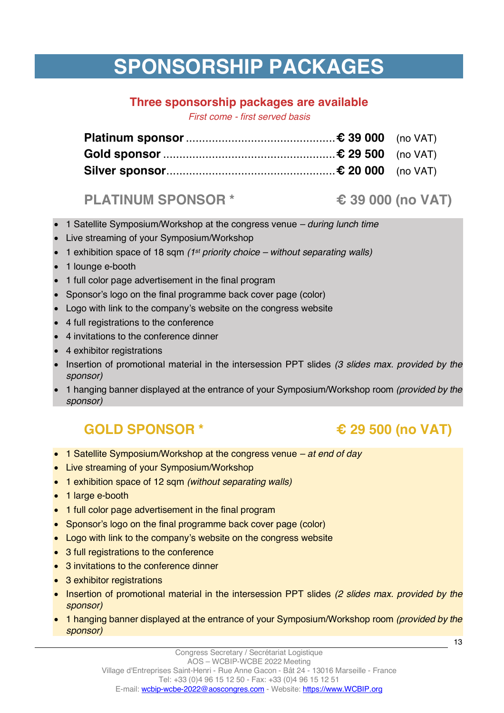# **SPONSORSHIP PACKAGES**

# **Three sponsorship packages are available**

*First come - first served basis*

# **PLATINUM SPONSOR \* € 39 000 (no VAT)**

- 1 Satellite Symposium/Workshop at the congress venue *– during lunch time*
- Live streaming of your Symposium/Workshop
- 1 exhibition space of 18 sqm *(1st priority choice – without separating walls)*
- 1 lounge e-booth
- 1 full color page advertisement in the final program
- Sponsor's logo on the final programme back cover page (color)
- Logo with link to the company's website on the congress website
- 4 full registrations to the conference
- 4 invitations to the conference dinner
- 4 exhibitor registrations
- Insertion of promotional material in the intersession PPT slides *(3 slides max. provided by the sponsor)*
- 1 hanging banner displayed at the entrance of your Symposium/Workshop room *(provided by the sponsor)*

# **GOLD SPONSOR \* € 29 500 (no VAT)**

- 1 Satellite Symposium/Workshop at the congress venue *– at end of day*
- Live streaming of your Symposium/Workshop
- 1 exhibition space of 12 sqm *(without separating walls)*
- 1 large e-booth
- 1 full color page advertisement in the final program
- Sponsor's logo on the final programme back cover page (color)
- Logo with link to the company's website on the congress website
- 3 full registrations to the conference
- 3 invitations to the conference dinner
- 3 exhibitor registrations
- Insertion of promotional material in the intersession PPT slides *(2 slides max. provided by the sponsor)*
- 1 hanging banner displayed at the entrance of your Symposium/Workshop room *(provided by the sponsor)*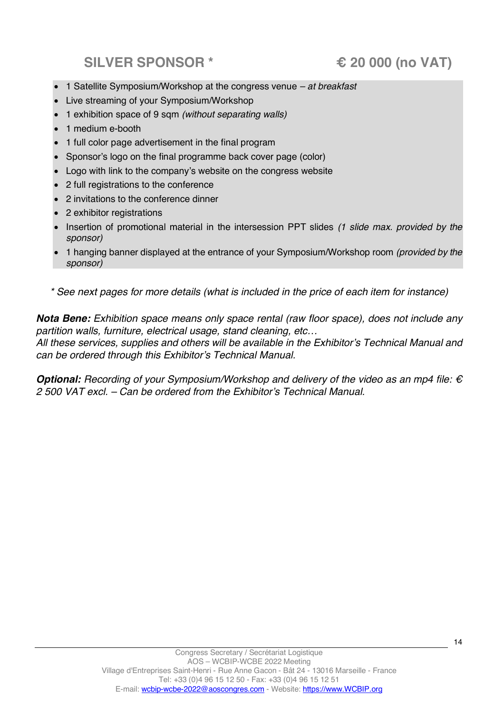# **SILVER SPONSOR \* € 20 000 (no VAT)**

- 1 Satellite Symposium/Workshop at the congress venue *– at breakfast*
- Live streaming of your Symposium/Workshop
- 1 exhibition space of 9 sqm *(without separating walls)*
- 1 medium e-booth
- 1 full color page advertisement in the final program
- Sponsor's logo on the final programme back cover page (color)
- Logo with link to the company's website on the congress website
- 2 full registrations to the conference
- 2 invitations to the conference dinner
- 2 exhibitor registrations
- Insertion of promotional material in the intersession PPT slides *(1 slide max. provided by the sponsor)*
- 1 hanging banner displayed at the entrance of your Symposium/Workshop room *(provided by the sponsor)*
- *\* See next pages for more details (what is included in the price of each item for instance)*

*Nota Bene: Exhibition space means only space rental (raw floor space), does not include any partition walls, furniture, electrical usage, stand cleaning, etc…*

*All these services, supplies and others will be available in the Exhibitor's Technical Manual and can be ordered through this Exhibitor's Technical Manual.*

**Optional:** Recording of your Symposium/Workshop and delivery of the video as an mp4 file: € *2 500 VAT excl. – Can be ordered from the Exhibitor's Technical Manual.*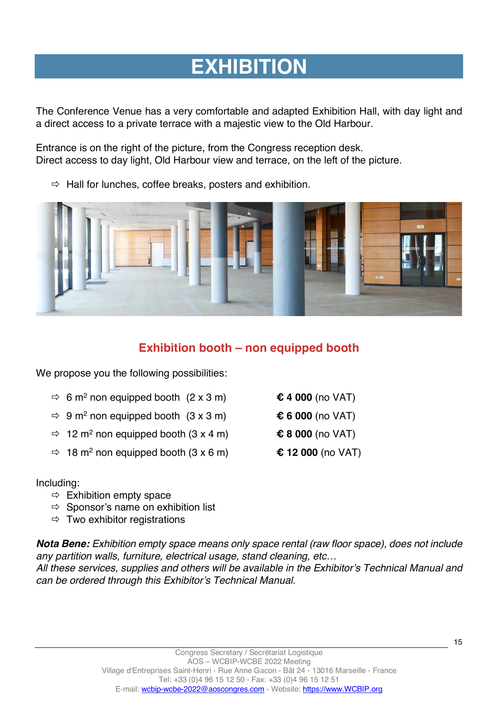# **EXHIBITION**

The Conference Venue has a very comfortable and adapted Exhibition Hall, with day light and a direct access to a private terrace with a majestic view to the Old Harbour.

Entrance is on the right of the picture, from the Congress reception desk. Direct access to day light, Old Harbour view and terrace, on the left of the picture.

 $\Rightarrow$  Hall for lunches, coffee breaks, posters and exhibition.



# **Exhibition booth – non equipped booth**

We propose you the following possibilities:

| $\Rightarrow$ 6 m <sup>2</sup> non equipped booth (2 x 3 m) |  | € 4 000 (no VAT) |
|-------------------------------------------------------------|--|------------------|
|-------------------------------------------------------------|--|------------------|

- $\Rightarrow$  9 m<sup>2</sup> non equipped booth (3 x 3 m)  $\&$  6 000 (no VAT)
- ð 12 m2 non equipped booth (3 x 4 m) **€ 8 000** (no VAT)
- $\Rightarrow$  18 m<sup>2</sup> non equipped booth (3 x 6 m)  $\qquad \qquad \text{\textsterling}$  12 000 (no VAT)

Including:

- $\Rightarrow$  Exhibition empty space
- $\Rightarrow$  Sponsor's name on exhibition list
- $\Rightarrow$  Two exhibitor registrations

*Nota Bene: Exhibition empty space means only space rental (raw floor space), does not include any partition walls, furniture, electrical usage, stand cleaning, etc…*

*All these services, supplies and others will be available in the Exhibitor's Technical Manual and can be ordered through this Exhibitor's Technical Manual.*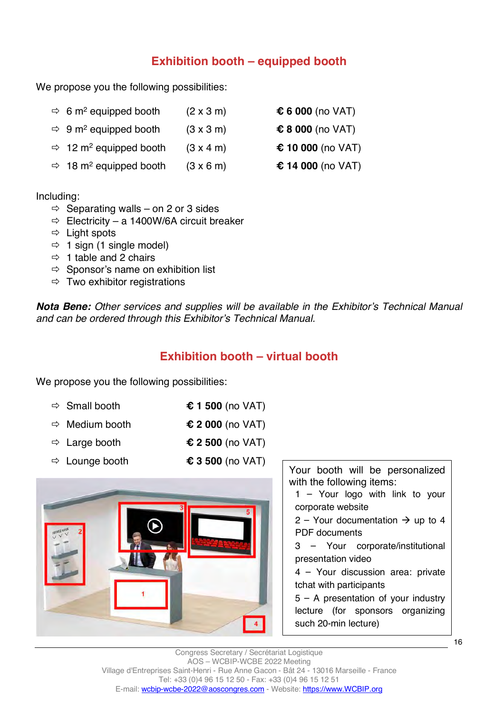# **Exhibition booth – equipped booth**

We propose you the following possibilities:

| $\Rightarrow$ 6 m <sup>2</sup> equipped booth  | $(2 \times 3 \text{ m})$ | $$6000$ (no VAT)  |
|------------------------------------------------|--------------------------|-------------------|
| $\Rightarrow$ 9 m <sup>2</sup> equipped booth  | $(3 \times 3 \text{ m})$ | € 8 000 (no VAT)  |
| $\Rightarrow$ 12 m <sup>2</sup> equipped booth | $(3 \times 4 \text{ m})$ | € 10 000 (no VAT) |
| $\Rightarrow$ 18 m <sup>2</sup> equipped booth | $(3 \times 6 \text{ m})$ | € 14 000 (no VAT) |

Including:

- $\Rightarrow$  Separating walls on 2 or 3 sides
- $\Rightarrow$  Electricity a 1400W/6A circuit breaker
- $\Rightarrow$  Light spots
- $\Rightarrow$  1 sign (1 single model)
- $\Rightarrow$  1 table and 2 chairs
- $\Rightarrow$  Sponsor's name on exhibition list
- $\Rightarrow$  Two exhibitor registrations

*Nota Bene: Other services and supplies will be available in the Exhibitor's Technical Manual and can be ordered through this Exhibitor's Technical Manual.*

# **Exhibition booth – virtual booth**

We propose you the following possibilities:

| $\Rightarrow$ Small booth  | € 1 500 (no VAT) |
|----------------------------|------------------|
| $\Rightarrow$ Medium booth | € 2 000 (no VAT) |

- ð Large booth **€ 2 500** (no VAT)
- 
- <sup>ð</sup> Lounge booth **€<sup>3</sup> <sup>500</sup>** (no VAT) Your booth will be personalized



with the following items:

1 – Your logo with link to your corporate website

2 – Your documentation  $\rightarrow$  up to 4 PDF documents

3 – Your corporate/institutional presentation video

4 – Your discussion area: private tchat with participants

5 – A presentation of your industry lecture (for sponsors organizing such 20-min lecture)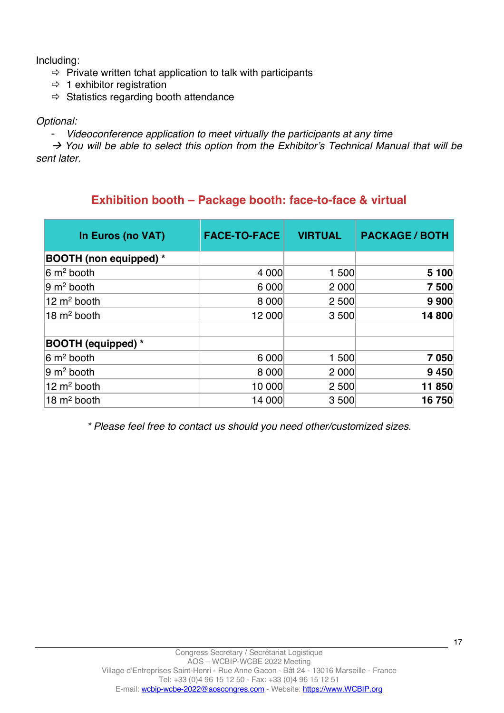Including:

- $\Rightarrow$  Private written tchat application to talk with participants
- $\Rightarrow$  1 exhibitor registration
- $\Rightarrow$  Statistics regarding booth attendance

### *Optional:*

- *Videoconference application to meet virtually the participants at any time*

à *You will be able to select this option from the Exhibitor's Technical Manual that will be sent later.*

# **Exhibition booth – Package booth: face-to-face & virtual**

| In Euros (no VAT)              | <b>FACE-TO-FACE</b> | <b>VIRTUAL</b> | <b>PACKAGE / BOTH</b> |
|--------------------------------|---------------------|----------------|-----------------------|
| <b>BOOTH</b> (non equipped) *  |                     |                |                       |
| $6 \text{ m}^2$ booth          | 4 0 0 0             | 1 500          | 5 100                 |
| $ 9 \text{ m}^2 \text{boot}$   | 6 0 0 0             | 2 0 0 0        | 7 500                 |
| 12 $m2$ booth                  | 8 0 0 0             | 2 500          | 9 9 0 0               |
| 18 $m2$ booth                  | 12 000              | 3500           | 14 800                |
| <b>BOOTH (equipped)</b> *      |                     |                |                       |
| $6 \text{ m}^2$ booth          | 6 0 0 0             | 1 500          | 7 0 5 0               |
| $ 9 \text{ m}^2 \text{boot}$ h | 8 0 0 0             | 2 0 0 0        | 9 4 5 0               |
| 12 $m2$ booth                  | 10 000              | 2 500          | 11850                 |
| 18 $m2$ booth                  | 14 000              | 3500           | 16750                 |

*\* Please feel free to contact us should you need other/customized sizes.*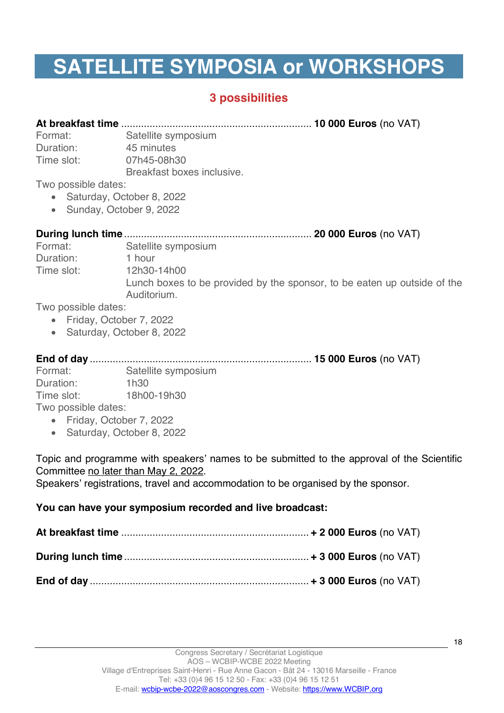# **SATELLITE SYMPOSIA or WORKSHOPS**

# **3 possibilities**

**At breakfast time** ................................................................... **10 000 Euros** (no VAT)

Format: Satellite symposium Duration: 45 minutes Time slot: 07h45-08h30 Breakfast boxes inclusive.

Two possible dates:

- Saturday, October 8, 2022
- Sunday, October 9, 2022

| Format:    | Satellite symposium                                                                     |
|------------|-----------------------------------------------------------------------------------------|
| Duration:  | 1 hour                                                                                  |
| Time slot: | 12h30-14h00                                                                             |
|            | Lunch boxes to be provided by the sponsor, to be eaten up outside of the<br>Auditorium. |

Two possible dates:

- Friday, October 7, 2022
- Saturday, October 8, 2022

**End of day** .............................................................................. **15 000 Euros** (no VAT)

Format: Satellite symposium Duration: 1h30 Time slot: 18h00-19h30 Two possible dates:

- Friday, October 7, 2022
- Saturday, October 8, 2022

Topic and programme with speakers' names to be submitted to the approval of the Scientific Committee no later than May 2, 2022.

Speakers' registrations, travel and accommodation to be organised by the sponsor.

## **You can have your symposium recorded and live broadcast:**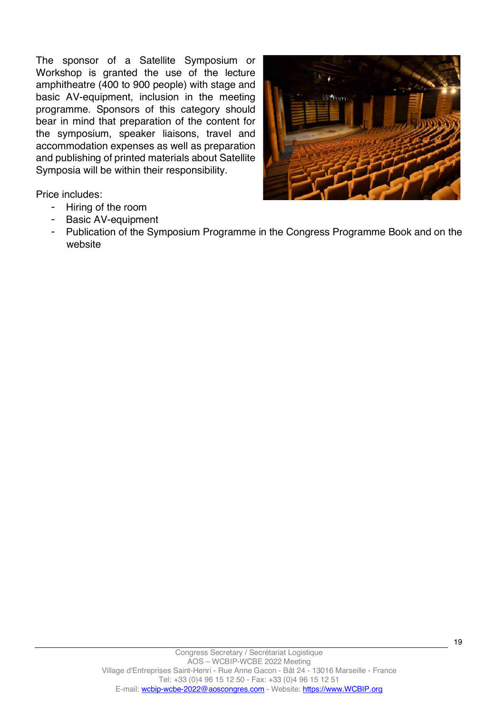The sponsor of a Satellite Symposium or Workshop is granted the use of the lecture amphitheatre (400 to 900 people) with stage and basic AV-equipment, inclusion in the meeting programme. Sponsors of this category should bear in mind that preparation of the content for the symposium, speaker liaisons, travel and accommodation expenses as well as preparation and publishing of printed materials about Satellite Symposia will be within their responsibility.



Price includes:

- Hiring of the room
- Basic AV-equipment
- Publication of the Symposium Programme in the Congress Programme Book and on the website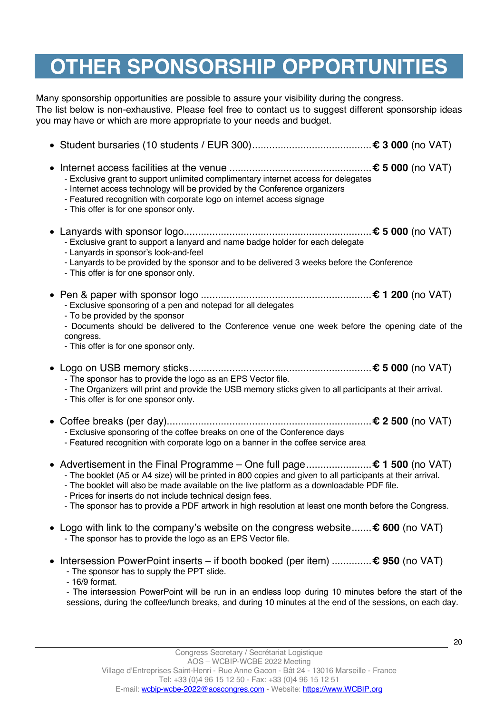# **OTHER SPONSORSHIP OPPORTUNITIES**

Many sponsorship opportunities are possible to assure your visibility during the congress. The list below is non-exhaustive. Please feel free to contact us to suggest different sponsorship ideas you may have or which are more appropriate to your needs and budget.

| - Exclusive grant to support unlimited complimentary internet access for delegates<br>- Internet access technology will be provided by the Conference organizers<br>- Featured recognition with corporate logo on internet access signage<br>- This offer is for one sponsor only.                                                                                                                                                                          |  |
|-------------------------------------------------------------------------------------------------------------------------------------------------------------------------------------------------------------------------------------------------------------------------------------------------------------------------------------------------------------------------------------------------------------------------------------------------------------|--|
| - Exclusive grant to support a lanyard and name badge holder for each delegate<br>- Lanyards in sponsor's look-and-feel<br>- Lanyards to be provided by the sponsor and to be delivered 3 weeks before the Conference<br>- This offer is for one sponsor only.                                                                                                                                                                                              |  |
| - Exclusive sponsoring of a pen and notepad for all delegates<br>- To be provided by the sponsor<br>- Documents should be delivered to the Conference venue one week before the opening date of the<br>congress.<br>- This offer is for one sponsor only.                                                                                                                                                                                                   |  |
| - The sponsor has to provide the logo as an EPS Vector file.<br>- The Organizers will print and provide the USB memory sticks given to all participants at their arrival.<br>- This offer is for one sponsor only.                                                                                                                                                                                                                                          |  |
| - Exclusive sponsoring of the coffee breaks on one of the Conference days<br>- Featured recognition with corporate logo on a banner in the coffee service area                                                                                                                                                                                                                                                                                              |  |
| ● Advertisement in the Final Programme - One full page € 1 500 (no VAT)<br>- The booklet (A5 or A4 size) will be printed in 800 copies and given to all participants at their arrival.<br>- The booklet will also be made available on the live platform as a downloadable PDF file.<br>- Prices for inserts do not include technical design fees.<br>- The sponsor has to provide a PDF artwork in high resolution at least one month before the Congress. |  |
| • Logo with link to the company's website on the congress website $\epsilon$ 600 (no VAT)<br>- The sponsor has to provide the logo as an EPS Vector file.                                                                                                                                                                                                                                                                                                   |  |
| Intersession PowerPoint inserts – if booth booked (per item) $\epsilon$ 950 (no VAT)<br>- The sponsor has to supply the PPT slide.<br>- 16/9 format.<br>- The intersession PowerPoint will be run in an endless loop during 10 minutes before the start of the<br>sessions, during the coffee/lunch breaks, and during 10 minutes at the end of the sessions, on each day.                                                                                  |  |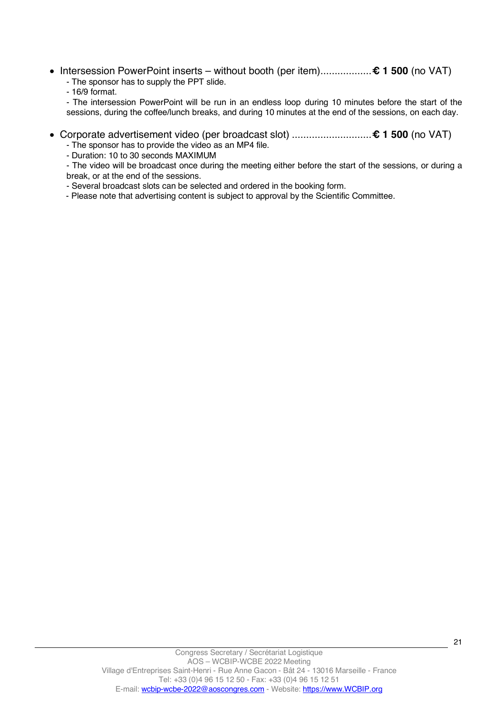• Intersession PowerPoint inserts – without booth (per item)..................**€ 1 500** (no VAT) - The sponsor has to supply the PPT slide.

- 16/9 format.

- The intersession PowerPoint will be run in an endless loop during 10 minutes before the start of the sessions, during the coffee/lunch breaks, and during 10 minutes at the end of the sessions, on each day.

- Corporate advertisement video (per broadcast slot) ............................**€ 1 500** (no VAT)
	- The sponsor has to provide the video as an MP4 file.

- Duration: 10 to 30 seconds MAXIMUM

- The video will be broadcast once during the meeting either before the start of the sessions, or during a break, or at the end of the sessions.

- Several broadcast slots can be selected and ordered in the booking form.

- Please note that advertising content is subject to approval by the Scientific Committee.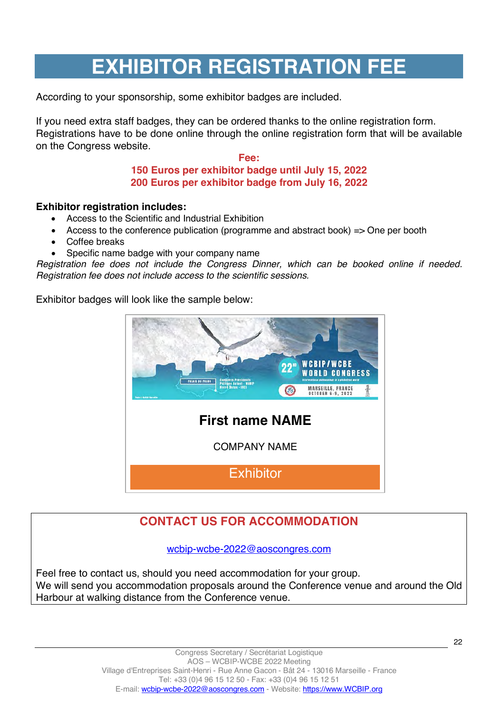# **EXHIBITOR REGISTRATION FEE**

According to your sponsorship, some exhibitor badges are included.

If you need extra staff badges, they can be ordered thanks to the online registration form. Registrations have to be done online through the online registration form that will be available on the Congress website.

### **Fee: 150 Euros per exhibitor badge until July 15, 2022 200 Euros per exhibitor badge from July 16, 2022**

### **Exhibitor registration includes:**

- Access to the Scientific and Industrial Exhibition
- Access to the conference publication (programme and abstract book)  $\Rightarrow$  One per booth
- Coffee breaks
- Specific name badge with your company name

*Registration fee does not include the Congress Dinner, which can be booked online if needed. Registration fee does not include access to the scientific sessions.*

Exhibitor badges will look like the sample below:



# **CONTACT US FOR ACCOMMODATION**

wcbip-wcbe-2022@aoscongres.com

Feel free to contact us, should you need accommodation for your group. We will send you accommodation proposals around the Conference venue and around the Old Harbour at walking distance from the Conference venue.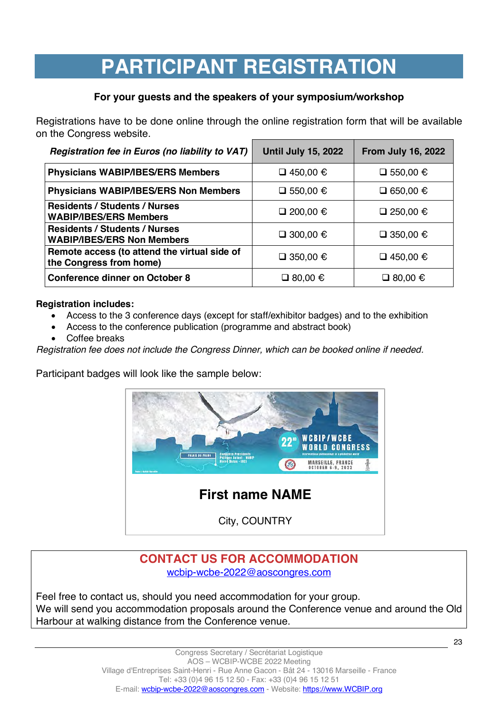# **PARTICIPANT REGISTRATION**

# **For your guests and the speakers of your symposium/workshop**

Registrations have to be done online through the online registration form that will be available on the Congress website.

| Registration fee in Euros (no liability to VAT)                           | <b>Until July 15, 2022</b> | <b>From July 16, 2022</b> |
|---------------------------------------------------------------------------|----------------------------|---------------------------|
| <b>Physicians WABIP/IBES/ERS Members</b>                                  | □ 450,00 $\epsilon$        | □ 550,00 $\epsilon$       |
| <b>Physicians WABIP/IBES/ERS Non Members</b>                              | □ 550,00 $\epsilon$        | □ 650,00 €                |
| <b>Residents / Students / Nurses</b><br><b>WABIP/IBES/ERS Members</b>     | □ 200,00 $\in$             | □ 250,00 $\epsilon$       |
| <b>Residents / Students / Nurses</b><br><b>WABIP/IBES/ERS Non Members</b> | □ 300,00 $\in$             | □ 350,00 $\epsilon$       |
| Remote access (to attend the virtual side of<br>the Congress from home)   | □ 350,00 $\epsilon$        | □ 450,00 $\epsilon$       |
| <b>Conference dinner on October 8</b>                                     | $\Box$ 80,00 €             | $\Box$ 80,00 €            |

### **Registration includes:**

- Access to the 3 conference days (except for staff/exhibitor badges) and to the exhibition
- Access to the conference publication (programme and abstract book)
- Coffee breaks

*Registration fee does not include the Congress Dinner, which can be booked online if needed.*

Participant badges will look like the sample below:



# **CONTACT US FOR ACCOMMODATION** wcbip-wcbe-2022@aoscongres.com

Feel free to contact us, should you need accommodation for your group. We will send you accommodation proposals around the Conference venue and around the Old Harbour at walking distance from the Conference venue.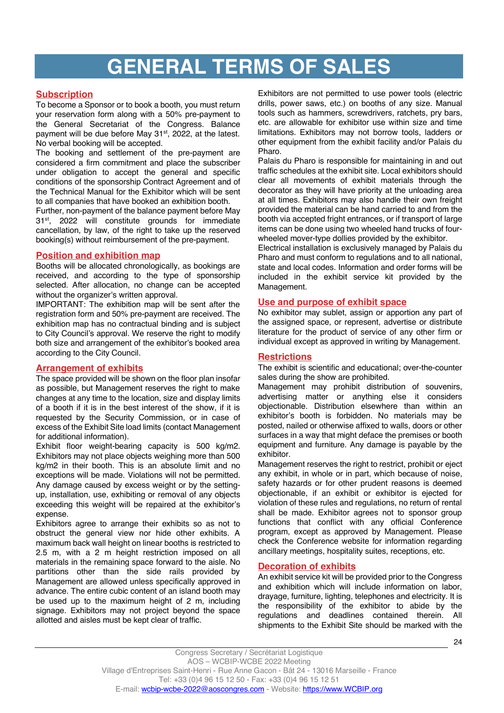# **GENERAL TERMS OF SALES**

#### **Subscription**

To become a Sponsor or to book a booth, you must return your reservation form along with a 50% pre-payment to the General Secretariat of the Congress. Balance payment will be due before May 31<sup>st</sup>, 2022, at the latest. No verbal booking will be accepted.

The booking and settlement of the pre-payment are considered a firm commitment and place the subscriber under obligation to accept the general and specific conditions of the sponsorship Contract Agreement and of the Technical Manual for the Exhibitor which will be sent to all companies that have booked an exhibition booth.

Further, non-payment of the balance payment before May 31st, 2022 will constitute grounds for immediate cancellation, by law, of the right to take up the reserved booking(s) without reimbursement of the pre-payment.

#### **Position and exhibition map**

Booths will be allocated chronologically, as bookings are received, and according to the type of sponsorship selected. After allocation, no change can be accepted without the organizer's written approval.

IMPORTANT: The exhibition map will be sent after the registration form and 50% pre-payment are received. The exhibition map has no contractual binding and is subject to City Council's approval. We reserve the right to modify both size and arrangement of the exhibitor's booked area according to the City Council.

#### **Arrangement of exhibits**

The space provided will be shown on the floor plan insofar as possible, but Management reserves the right to make changes at any time to the location, size and display limits of a booth if it is in the best interest of the show, if it is requested by the Security Commission, or in case of excess of the Exhibit Site load limits (contact Management for additional information).

Exhibit floor weight-bearing capacity is 500 kg/m2. Exhibitors may not place objects weighing more than 500 kg/m2 in their booth. This is an absolute limit and no exceptions will be made. Violations will not be permitted. Any damage caused by excess weight or by the settingup, installation, use, exhibiting or removal of any objects exceeding this weight will be repaired at the exhibitor's expense.

Exhibitors agree to arrange their exhibits so as not to obstruct the general view nor hide other exhibits. A maximum back wall height on linear booths is restricted to 2.5 m, with a 2 m height restriction imposed on all materials in the remaining space forward to the aisle. No partitions other than the side rails provided by Management are allowed unless specifically approved in advance. The entire cubic content of an island booth may be used up to the maximum height of 2 m, including signage. Exhibitors may not project beyond the space allotted and aisles must be kept clear of traffic.

Exhibitors are not permitted to use power tools (electric drills, power saws, etc.) on booths of any size. Manual tools such as hammers, screwdrivers, ratchets, pry bars, etc. are allowable for exhibitor use within size and time limitations. Exhibitors may not borrow tools, ladders or other equipment from the exhibit facility and/or Palais du Pharo.

Palais du Pharo is responsible for maintaining in and out traffic schedules at the exhibit site. Local exhibitors should clear all movements of exhibit materials through the decorator as they will have priority at the unloading area at all times. Exhibitors may also handle their own freight provided the material can be hand carried to and from the booth via accepted fright entrances, or if transport of large items can be done using two wheeled hand trucks of fourwheeled mover-type dollies provided by the exhibitor.

Electrical installation is exclusively managed by Palais du Pharo and must conform to regulations and to all national, state and local codes. Information and order forms will be included in the exhibit service kit provided by the Management.

#### **Use and purpose of exhibit space**

No exhibitor may sublet, assign or apportion any part of the assigned space, or represent, advertise or distribute literature for the product of service of any other firm or individual except as approved in writing by Management.

#### **Restrictions**

The exhibit is scientific and educational; over-the-counter sales during the show are prohibited.

Management may prohibit distribution of souvenirs, advertising matter or anything else it considers objectionable. Distribution elsewhere than within an exhibitor's booth is forbidden. No materials may be posted, nailed or otherwise affixed to walls, doors or other surfaces in a way that might deface the premises or booth equipment and furniture. Any damage is payable by the exhibitor.

Management reserves the right to restrict, prohibit or eject any exhibit, in whole or in part, which because of noise, safety hazards or for other prudent reasons is deemed objectionable, if an exhibit or exhibitor is ejected for violation of these rules and regulations, no return of rental shall be made. Exhibitor agrees not to sponsor group functions that conflict with any official Conference program, except as approved by Management. Please check the Conference website for information regarding ancillary meetings, hospitality suites, receptions, etc.

#### **Decoration of exhibits**

An exhibit service kit will be provided prior to the Congress and exhibition which will include information on labor, drayage, furniture, lighting, telephones and electricity. It is the responsibility of the exhibitor to abide by the regulations and deadlines contained therein. All shipments to the Exhibit Site should be marked with the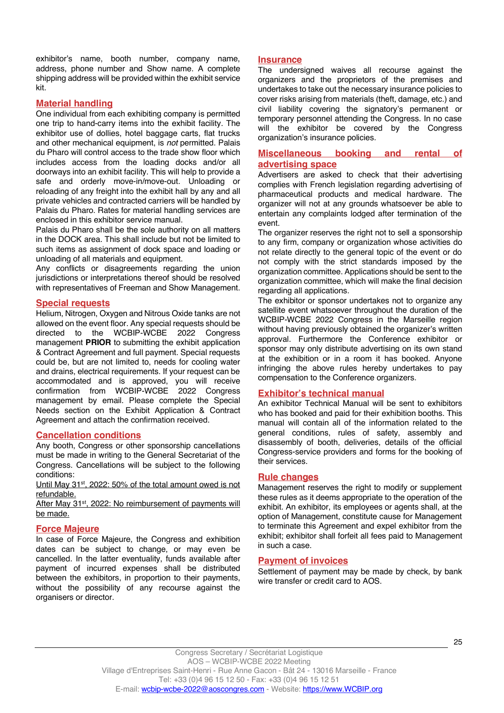exhibitor's name, booth number, company name, address, phone number and Show name. A complete shipping address will be provided within the exhibit service kit.

#### **Material handling**

One individual from each exhibiting company is permitted one trip to hand-carry items into the exhibit facility. The exhibitor use of dollies, hotel baggage carts, flat trucks and other mechanical equipment, is *not* permitted. Palais du Pharo will control access to the trade show floor which includes access from the loading docks and/or all doorways into an exhibit facility. This will help to provide a safe and orderly move-in/move-out. Unloading or reloading of any freight into the exhibit hall by any and all private vehicles and contracted carriers will be handled by Palais du Pharo. Rates for material handling services are enclosed in this exhibitor service manual.

Palais du Pharo shall be the sole authority on all matters in the DOCK area. This shall include but not be limited to such items as assignment of dock space and loading or unloading of all materials and equipment.

Any conflicts or disagreements regarding the union jurisdictions or interpretations thereof should be resolved with representatives of Freeman and Show Management.

#### **Special requests**

Helium, Nitrogen, Oxygen and Nitrous Oxide tanks are not allowed on the event floor. Any special requests should be directed to the WCBIP-WCBE 2022 Congress management **PRIOR** to submitting the exhibit application & Contract Agreement and full payment. Special requests could be, but are not limited to, needs for cooling water and drains, electrical requirements. If your request can be accommodated and is approved, you will receive confirmation from WCBIP-WCBE 2022 Congress management by email. Please complete the Special Needs section on the Exhibit Application & Contract Agreement and attach the confirmation received.

#### **Cancellation conditions**

Any booth, Congress or other sponsorship cancellations must be made in writing to the General Secretariat of the Congress. Cancellations will be subject to the following conditions:

Until May 31<sup>st</sup>, 2022: 50% of the total amount owed is not refundable.

After May 31<sup>st</sup>, 2022: No reimbursement of payments will be made.

#### **Force Majeure**

In case of Force Majeure, the Congress and exhibition dates can be subject to change, or may even be cancelled. In the latter eventuality, funds available after payment of incurred expenses shall be distributed between the exhibitors, in proportion to their payments, without the possibility of any recourse against the organisers or director.

#### **Insurance**

The undersigned waives all recourse against the organizers and the proprietors of the premises and undertakes to take out the necessary insurance policies to cover risks arising from materials (theft, damage, etc.) and civil liability covering the signatory's permanent or temporary personnel attending the Congress. In no case will the exhibitor be covered by the Congress organization's insurance policies.

#### **Miscellaneous booking and rental of advertising space**

Advertisers are asked to check that their advertising complies with French legislation regarding advertising of pharmaceutical products and medical hardware. The organizer will not at any grounds whatsoever be able to entertain any complaints lodged after termination of the event.

The organizer reserves the right not to sell a sponsorship to any firm, company or organization whose activities do not relate directly to the general topic of the event or do not comply with the strict standards imposed by the organization committee. Applications should be sent to the organization committee, which will make the final decision regarding all applications.

The exhibitor or sponsor undertakes not to organize any satellite event whatsoever throughout the duration of the WCBIP-WCBE 2022 Congress in the Marseille region without having previously obtained the organizer's written approval. Furthermore the Conference exhibitor or sponsor may only distribute advertising on its own stand at the exhibition or in a room it has booked. Anyone infringing the above rules hereby undertakes to pay compensation to the Conference organizers.

#### **Exhibitor's technical manual**

An exhibitor Technical Manual will be sent to exhibitors who has booked and paid for their exhibition booths. This manual will contain all of the information related to the general conditions, rules of safety, assembly and disassembly of booth, deliveries, details of the official Congress-service providers and forms for the booking of their services.

#### **Rule changes**

Management reserves the right to modify or supplement these rules as it deems appropriate to the operation of the exhibit. An exhibitor, its employees or agents shall, at the option of Management, constitute cause for Management to terminate this Agreement and expel exhibitor from the exhibit; exhibitor shall forfeit all fees paid to Management in such a case.

#### **Payment of invoices**

Settlement of payment may be made by check, by bank wire transfer or credit card to AOS.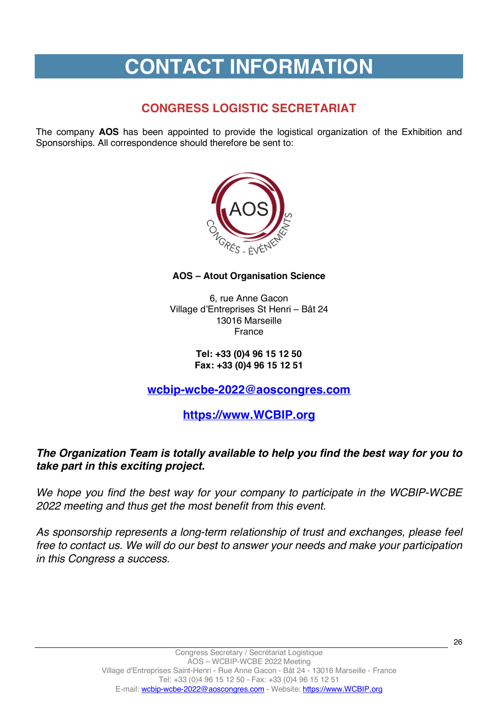# **CONTACT INFORMATION**

# **CONGRESS LOGISTIC SECRETARIAT**

The company **AOS** has been appointed to provide the logistical organization of the Exhibition and Sponsorships. All correspondence should therefore be sent to:



### **AOS – Atout Organisation Science**

6, rue Anne Gacon Village d'Entreprises St Henri – Bât 24 13016 Marseille France

### **Tel: +33 (0)4 96 15 12 50 Fax: +33 (0)4 96 15 12 51**

# **wcbip-wcbe-2022@aoscongres.com**

# **https://www.WCBIP.org**

# *The Organization Team is totally available to help you find the best way for you to take part in this exciting project.*

*We hope you find the best way for your company to participate in the WCBIP-WCBE 2022 meeting and thus get the most benefit from this event.*

*As sponsorship represents a long-term relationship of trust and exchanges, please feel free to contact us. We will do our best to answer your needs and make your participation in this Congress a success.*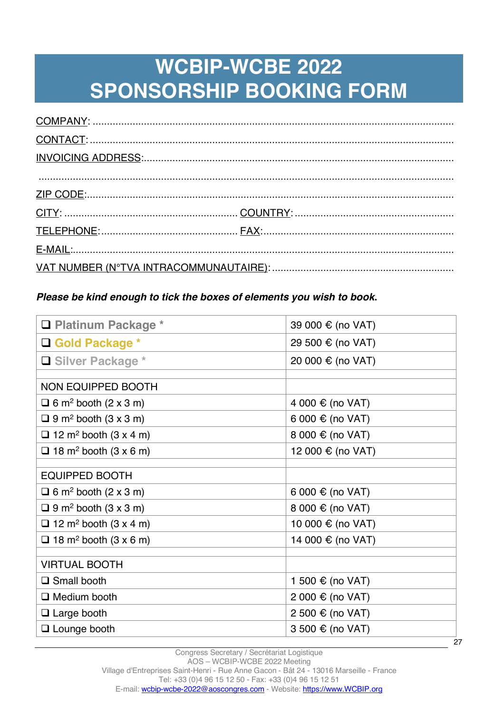# **WCBIP-WCBE 2022 SPONSORSHIP BOOKING FORM**

# *Please be kind enough to tick the boxes of elements you wish to book***.**

| □ Platinum Package *                     | 39 000 € (no VAT) |  |
|------------------------------------------|-------------------|--|
| □ Gold Package *                         | 29 500 € (no VAT) |  |
| □ Silver Package *                       | 20 000 € (no VAT) |  |
| NON EQUIPPED BOOTH                       |                   |  |
| $\Box$ 6 m <sup>2</sup> booth (2 x 3 m)  | 4 000 € (no VAT)  |  |
| $\Box$ 9 m <sup>2</sup> booth (3 x 3 m)  | 6 000 € (no VAT)  |  |
| $\Box$ 12 m <sup>2</sup> booth (3 x 4 m) | 8 000 € (no VAT)  |  |
| $\Box$ 18 m <sup>2</sup> booth (3 x 6 m) | 12 000 € (no VAT) |  |
| <b>EQUIPPED BOOTH</b>                    |                   |  |
| $\Box$ 6 m <sup>2</sup> booth (2 x 3 m)  | 6 000 € (no VAT)  |  |
| $\Box$ 9 m <sup>2</sup> booth (3 x 3 m)  | 8 000 € (no VAT)  |  |
| $\Box$ 12 m <sup>2</sup> booth (3 x 4 m) | 10 000 € (no VAT) |  |
| $\Box$ 18 m <sup>2</sup> booth (3 x 6 m) | 14 000 € (no VAT) |  |
| <b>VIRTUAL BOOTH</b>                     |                   |  |
| $\Box$ Small booth                       | 1 500 € (no VAT)  |  |
| $\Box$ Medium booth                      | 2 000 € (no VAT)  |  |
| $\Box$ Large booth                       | 2 500 € (no VAT)  |  |
| $\Box$ Lounge booth                      | 3 500 € (no VAT)  |  |
|                                          | 27                |  |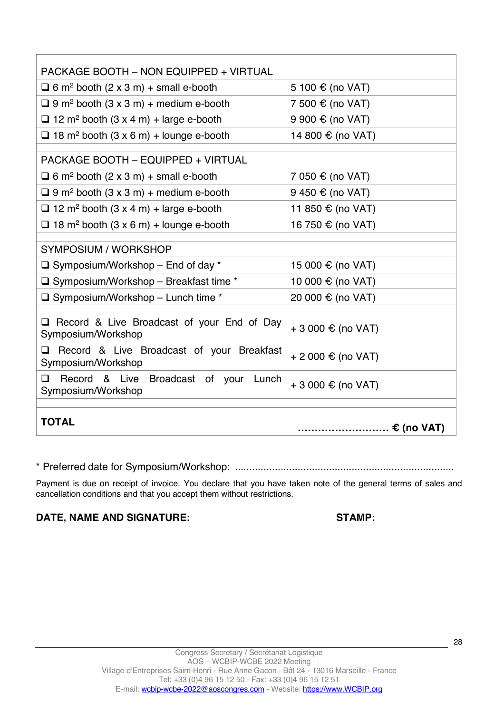| <b>PACKAGE BOOTH - NON EQUIPPED + VIRTUAL</b>                           |                    |  |
|-------------------------------------------------------------------------|--------------------|--|
| $\Box$ 6 m <sup>2</sup> booth (2 x 3 m) + small e-booth                 | 5 100 € (no VAT)   |  |
| $\Box$ 9 m <sup>2</sup> booth (3 x 3 m) + medium e-booth                | 7 500 € (no VAT)   |  |
| $\Box$ 12 m <sup>2</sup> booth (3 x 4 m) + large e-booth                | 9 900 € (no VAT)   |  |
| $\Box$ 18 m <sup>2</sup> booth (3 x 6 m) + lounge e-booth               | 14 800 € (no VAT)  |  |
| PACKAGE BOOTH - EQUIPPED + VIRTUAL                                      |                    |  |
| $\Box$ 6 m <sup>2</sup> booth (2 x 3 m) + small e-booth                 | 7 050 € (no VAT)   |  |
| $\Box$ 9 m <sup>2</sup> booth (3 x 3 m) + medium e-booth                | 9 450 € (no VAT)   |  |
| $\Box$ 12 m <sup>2</sup> booth (3 x 4 m) + large e-booth                | 11 850 € (no VAT)  |  |
| $\Box$ 18 m <sup>2</sup> booth (3 x 6 m) + lounge e-booth               | 16 750 € (no VAT)  |  |
|                                                                         |                    |  |
| <b>SYMPOSIUM / WORKSHOP</b>                                             |                    |  |
| $\Box$ Symposium/Workshop – End of day *                                | 15 000 € (no VAT)  |  |
| $\Box$ Symposium/Workshop - Breakfast time *                            | 10 000 € (no VAT)  |  |
| $\Box$ Symposium/Workshop – Lunch time *                                | 20 000 € (no VAT)  |  |
|                                                                         |                    |  |
| $\Box$ Record & Live Broadcast of your End of Day<br>Symposium/Workshop | + 3 000 € (no VAT) |  |
| Record & Live Broadcast of your Breakfast<br>◻<br>Symposium/Workshop    | + 2 000 € (no VAT) |  |
| Record & Live Broadcast of your Lunch<br>◻<br>Symposium/Workshop        | + 3 000 € (no VAT) |  |
|                                                                         |                    |  |
| <b>TOTAL</b>                                                            |                    |  |
|                                                                         |                    |  |

\* Preferred date for Symposium/Workshop: .............................................................................

Payment is due on receipt of invoice. You declare that you have taken note of the general terms of sales and cancellation conditions and that you accept them without restrictions.

DATE, NAME AND SIGNATURE: STAMP: